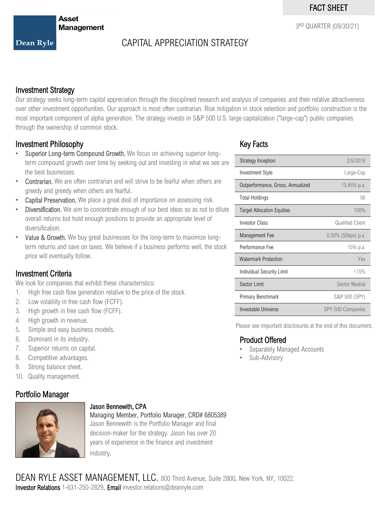3 RD QUARTER (09/30/21)

Dean Ryle

# CAPITAL APPRECIATION STRATEGY

### Investment Strategy

Our strategy seeks long-term capital appreciation through the disciplined research and analysis of companies and their relative attractiveness over other investment opportunities. Our approach is most often contrarian. Risk mitigation in stock selection and portfolio construction is the most important component of alpha generation. The strategy invests in S&P 500 U.S. large capitalization ("large-cap") public companies through the ownership of common stock.

### Investment Philosophy

- Superior Long-term Compound Growth. We focus on achieving superior longterm compound growth over time by seeking out and investing in what we see are the best businesses.
- Contrarian. We are often contrarian and will strive to be fearful when others are greedy and greedy when others are fearful.
- Capital Preservation. We place a great deal of importance on assessing risk.
- **Diversification**. We aim to concentrate enough of our best ideas so as not to dilute overall returns but hold enough positions to provide an appropriate level of diversification.
- Value & Growth. We buy great businesses for the long-term to maximize longterm returns and save on taxes. We believe if a business performs well, the stock price will eventually follow.

### Investment Criteria

We look for companies that exhibit these characteristics:

- 1. High free cash flow generation relative to the price of the stock.
- 2. Low volatility in free cash flow (FCFF).
- 3. High growth in free cash flow (FCFF).
- 4. High growth in revenue.
- 5. Simple and easy business models.
- 6. Dominant in its industry.
- 7. Superior returns on capital.
- 8. Competitive advantages.
- 9. Strong balance sheet.
- 10. Quality management.

### Portfolio Manager



#### Jason Bennewith, CPA

Managing Member, Portfolio Manager, CRD# 6805389 Jason Bennewith is the Portfolio Manager and final decision-maker for the strategy. Jason has over 20 years of experience in the finance and investment industry.

## Key Facts

| <b>Strategy Inception</b>         | 2/5/2018              |  |  |  |
|-----------------------------------|-----------------------|--|--|--|
| <b>Investment Style</b>           | Large-Cap             |  |  |  |
| Outperformance, Gross, Annualized | 13.45% p.a.           |  |  |  |
| <b>Total Holdings</b>             | 56                    |  |  |  |
| <b>Target Allocation Equities</b> | 100%                  |  |  |  |
| <b>Investor Class</b>             | Qualified Client      |  |  |  |
| Management Fee                    | $0.50\%$ (50bps) p.a. |  |  |  |
| Performance Fee                   | 15% p.a.              |  |  |  |
| <b>Watermark Protection</b>       | <b>Yes</b>            |  |  |  |
| Individual Security Limit         | < 15%                 |  |  |  |
| Sector Limit                      | <b>Sector Neutral</b> |  |  |  |
| Primary Benchmark                 | S&P 500 (SPY)         |  |  |  |
| Investable Universe               | SPY 500 Companies     |  |  |  |

Please see important disclosures at the end of this document.

#### Product Offered

- Separately Managed Accounts
- Sub-Advisory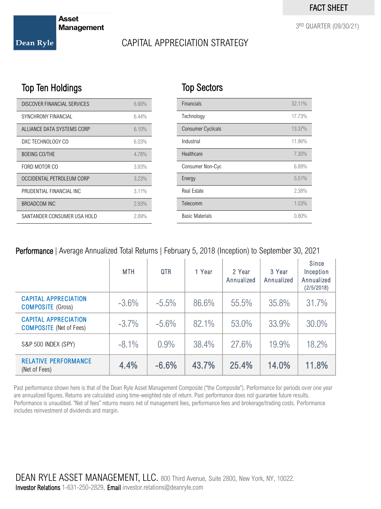3 RD QUARTER (09/30/21)

**Asset Management** 

#### Dean Ryle

# CAPITAL APPRECIATION STRATEGY

Top Sectors

# Top Ten Holdings

| DISCOVER FINANCIAL SERVICES | 6.90% |
|-----------------------------|-------|
| <b>SYNCHRONY FINANCIAL</b>  | 6.44% |
| ALLIANCE DATA SYSTEMS CORP  | 6.10% |
| DXC TECHNOLOGY CO           | 6.03% |
| <b>BOEING CO/THE</b>        | 4.78% |
| FORD MOTOR CO               | 3.93% |
| OCCIDENTAL PETROLEUM CORP   | 3.23% |
| PRUDENTIAL FINANCIAL INC.   | 3.11% |
| BROADCOM INC                | 2.93% |
| SANTANDER CONSUMER USA HOLD | 2.89% |

| <b>Financials</b>         | 32.11%   |
|---------------------------|----------|
| Technology                | 17.73%   |
| <b>Consumer Cyclicals</b> | 13.37%   |
| Industrial                | 11.96%   |
| Healthcare                | 7.30%    |
| Consumer Non-Cyc          | 6.89%    |
| Energy                    | 5.51%    |
| <b>Real Estate</b>        | 2.38%    |
| Telecomm                  | 1.53%    |
| <b>Basic Materials</b>    | $0.80\%$ |

### Performance | Average Annualized Total Returns | February 5, 2018 (Inception) to September 30, 2021

|                                                               | <b>MTH</b> | <b>QTR</b> | 1 Year | 2 Year<br>Annualized | 3 Year<br>Annualized | Since<br>Inception<br>Annualized<br>(2/5/2018) |
|---------------------------------------------------------------|------------|------------|--------|----------------------|----------------------|------------------------------------------------|
| <b>CAPITAL APPRECIATION</b><br><b>COMPOSITE</b> (Gross)       | $-3.6\%$   | $-5.5\%$   | 86.6%  | 55.5%                | 35.8%                | 31.7%                                          |
| <b>CAPITAL APPRECIATION</b><br><b>COMPOSITE</b> (Net of Fees) | $-3.7\%$   | $-5.6\%$   | 82.1%  | 53.0%                | 33.9%                | 30.0%                                          |
| S&P 500 INDEX (SPY)                                           | $-8.1\%$   | 0.9%       | 38.4%  | 27.6%                | 19.9%                | 18.2%                                          |
| <b>RELATIVE PERFORMANCE</b><br>(Net of Fees)                  | 4.4%       | $-6.6%$    | 43.7%  | 25.4%                | 14.0%                | 11.8%                                          |

Past performance shown here is that of the Dean Ryle Asset Management Composite ("the Composite"). Performance for periods over one year are annualized figures. Returns are calculated using time-weighted rate of return. Past performance does not guarantee future results. Performance is unaudited. "Net of fees" returns means net of management fees, performance fees and brokerage/trading costs. Performance includes reinvestment of dividends and margin.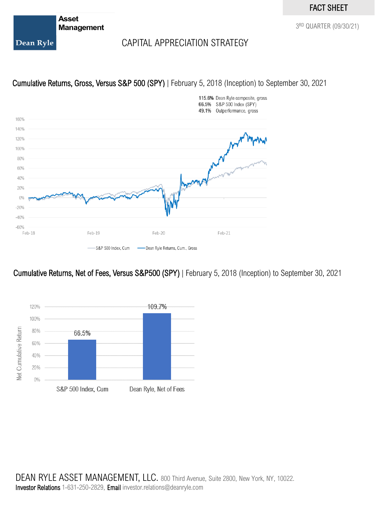### FACT SHEET

**Asset Management** 

3 RD QUARTER (09/30/21)

Dean Ryle

# CAPITAL APPRECIATION STRATEGY

### Cumulative Returns, Gross, Versus S&P 500 (SPY) | February 5, 2018 (Inception) to September 30, 2021



### Cumulative Returns, Net of Fees, Versus S&P500 (SPY) | February 5, 2018 (Inception) to September 30, 2021



DEAN RYLE ASSET MANAGEMENT, LLC. 800 Third Avenue, Suite 2800, New York, NY, 10022. Investor Relations 1-631-250-2829, Email investor.relations@deanryle.com